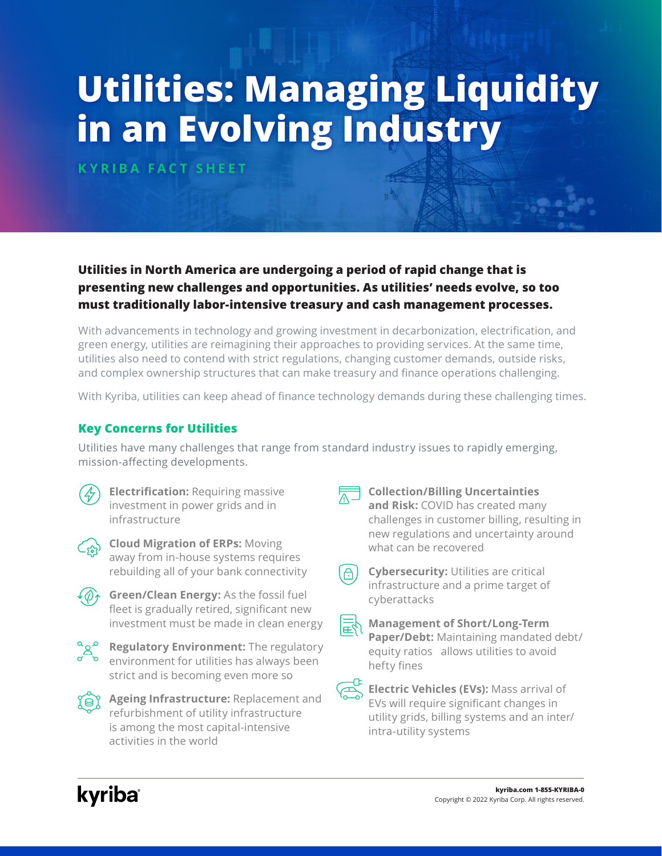# **Utilities: Managing Liquidity in an Evolving Industry**

**KYRIBA FACT SHEET**

## **Utilities in North America are undergoing a period of rapid change that is presenting new challenges and opportunities. As utilities' needs evolve, so too must traditionally labor-intensive treasury and cash management processes.**

With advancements in technology and growing investment in decarbonization, electrification, and green energy, utilities are reimagining their approaches to providing services. At the same time, utilities also need to contend with strict regulations, changing customer demands, outside risks, and complex ownership structures that can make treasury and finance operations challenging.

With Kyriba, utilities can keep ahead of finance technology demands during these challenging times.

### **Key Concerns for Utilities**

Utilities have many challenges that range from standard industry issues to rapidly emerging, mission-affecting developments.

**Electrification:** Requiring massive investment in power grids and in infrastructure



**Cloud Migration of ERPs:** Moving away from in-house systems requires rebuilding all of your bank connectivity



**Green/Clean Energy:** As the fossil fuel fleet is gradually retired, significant new investment must be made in clean energy



**Regulatory Environment:** The regulatory environment for utilities has always been strict and is becoming even more so



 $\widehat{P}$  **Ageing Infrastructure:** Replacement and refurbishment of utility infrastructure is among the most capital-intensive activities in the world



#### **Collection/Billing Uncertainties**

**and Risk:** COVID has created many challenges in customer billing, resulting in new regulations and uncertainty around what can be recovered

| ∸ | ınt |
|---|-----|
|   |     |

**Cybersecurity:** Utilities are critical frastructure and a prime target of cyberattacks

| ______ |
|--------|
|        |

**Management of Short/Long-Term Paper/Debt:** Maintaining mandated debt/ equity ratios allows utilities to avoid hefty fines



**Electric Vehicles (EVs):** Mass arrival of EVs will require significant changes in utility grids, billing systems and an inter/ intra-utility systems